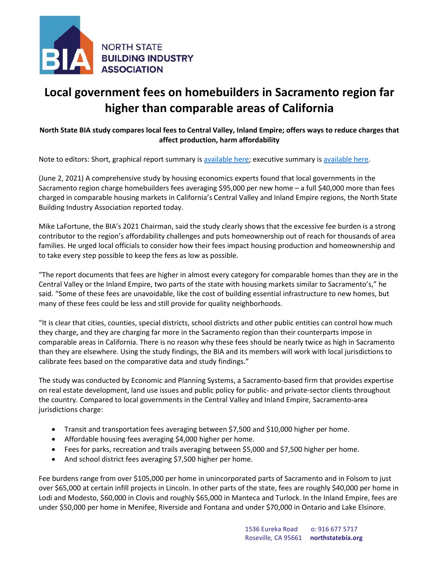

## **Local government fees on homebuilders in Sacramento region far higher than comparable areas of California**

## **North State BIA study compares local fees to Central Valley, Inland Empire; offers ways to reduce charges that affect production, harm affordability**

Note to editors: Short, graphical report summary is available here; executive summary is available here.

(June 2, 2021) A comprehensive study by housing economics experts found that local governments in the Sacramento region charge homebuilders fees averaging \$95,000 per new home – a full \$40,000 more than fees charged in comparable housing markets in California's Central Valley and Inland Empire regions, the North State Building Industry Association reported today.

Mike LaFortune, the BIA's 2021 Chairman, said the study clearly shows that the excessive fee burden is a strong contributor to the region's affordability challenges and puts homeownership out of reach for thousands of area families. He urged local officials to consider how their fees impact housing production and homeownership and to take every step possible to keep the fees as low as possible.

"The report documents that fees are higher in almost every category for comparable homes than they are in the Central Valley or the Inland Empire, two parts of the state with housing markets similar to Sacramento's," he said. "Some of these fees are unavoidable, like the cost of building essential infrastructure to new homes, but many of these fees could be less and still provide for quality neighborhoods.

"It is clear that cities, counties, special districts, school districts and other public entities can control how much they charge, and they are charging far more in the Sacramento region than their counterparts impose in comparable areas in California. There is no reason why these fees should be nearly twice as high in Sacramento than they are elsewhere. Using the study findings, the BIA and its members will work with local jurisdictions to calibrate fees based on the comparative data and study findings."

The study was conducted by Economic and Planning Systems, a Sacramento-based firm that provides expertise on real estate development, land use issues and public policy for public- and private-sector clients throughout the country. Compared to local governments in the Central Valley and Inland Empire, Sacramento-area jurisdictions charge:

- Transit and transportation fees averaging between \$7,500 and \$10,000 higher per home.
- Affordable housing fees averaging \$4,000 higher per home.
- Fees for parks, recreation and trails averaging between \$5,000 and \$7,500 higher per home.
- And school district fees averaging \$7,500 higher per home.

Fee burdens range from over \$105,000 per home in unincorporated parts of Sacramento and in Folsom to just over \$65,000 at certain infill projects in Lincoln. In other parts of the state, fees are roughly \$40,000 per home in Lodi and Modesto, \$60,000 in Clovis and roughly \$65,000 in Manteca and Turlock. In the Inland Empire, fees are under \$50,000 per home in Menifee, Riverside and Fontana and under \$70,000 in Ontario and Lake Elsinore.